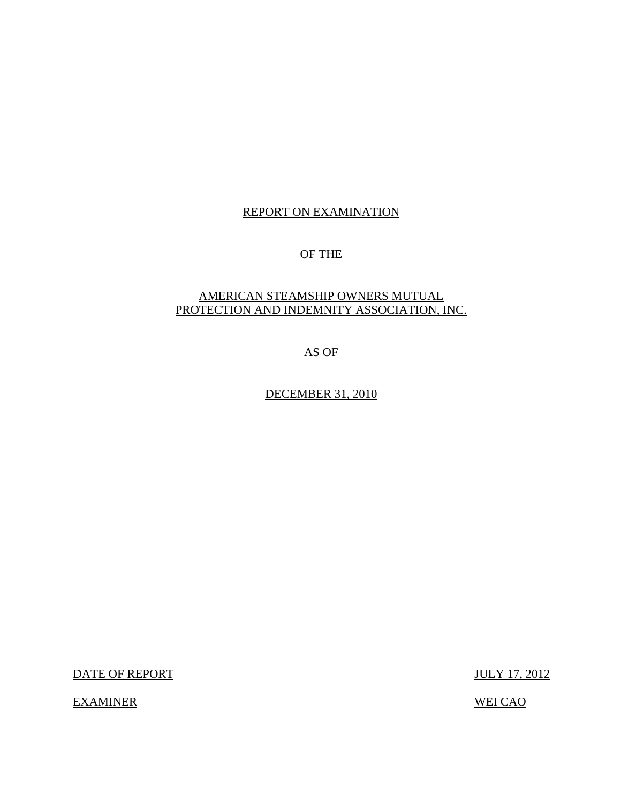## REPORT ON EXAMINATION

## OF THE

## AMERICAN STEAMSHIP OWNERS MUTUAL PROTECTION AND INDEMNITY ASSOCIATION, INC.

## AS OF

DECEMBER 31, 2010

DATE OF REPORT JULY 17, 2012

EXAMINER WEI CAO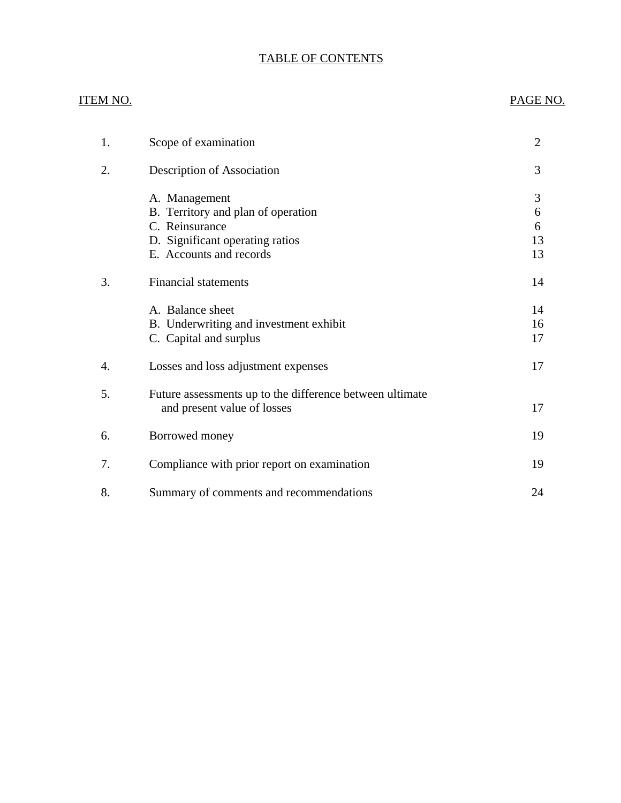## TABLE OF CONTENTS

# ITEM NO. PAGE NO. [1. Scope of examination 2](#page-3-0) 2. Description of Association 3 A. Management 3 B. Territory and plan of operation 6 C. Reinsurance 6 D. Significant operating ratios 13 E. Accounts and records 13 3. Financial statements 14 A. Balance sheet 14 [B. Underwriting and investment exhibit 16](#page-17-0) C. Capital and surplus 17 4. Losses and loss adjustment expenses 17 5. Future assessments up to the difference between ultimate and present value of losses 17 [6. Borrowed money 19](#page-20-0) [7. Compliance with prior report on examination 19](#page-20-0) [8. Summary of comments and recommendations 24](#page-25-0)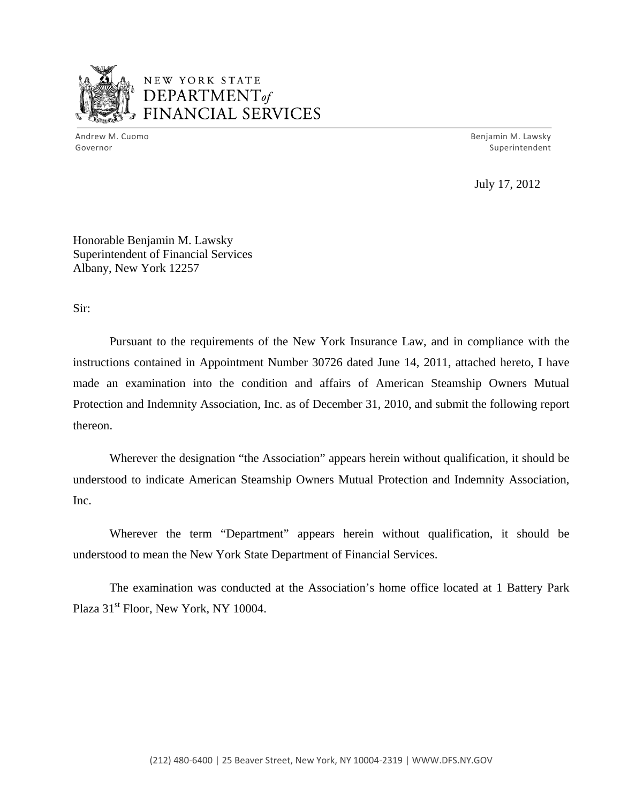

## NEW YORK STATE DEPARTMENTof *~,........,,* FINANCIAL SERVICES

Andrew M. Cuomo **Benjamin M. Lawsky** Governor Superintendent

July 17, 2012

Honorable Benjamin M. Lawsky Superintendent of Financial Services Albany, New York 12257

Sir:

Pursuant to the requirements of the New York Insurance Law, and in compliance with the instructions contained in Appointment Number 30726 dated June 14, 2011, attached hereto, I have made an examination into the condition and affairs of American Steamship Owners Mutual Protection and Indemnity Association, Inc. as of December 31, 2010, and submit the following report thereon.

Wherever the designation "the Association" appears herein without qualification, it should be understood to indicate American Steamship Owners Mutual Protection and Indemnity Association, Inc.

Wherever the term "Department" appears herein without qualification, it should be understood to mean the New York State Department of Financial Services.

The examination was conducted at the Association's home office located at 1 Battery Park Plaza  $31<sup>st</sup>$  Floor, New York, NY 10004.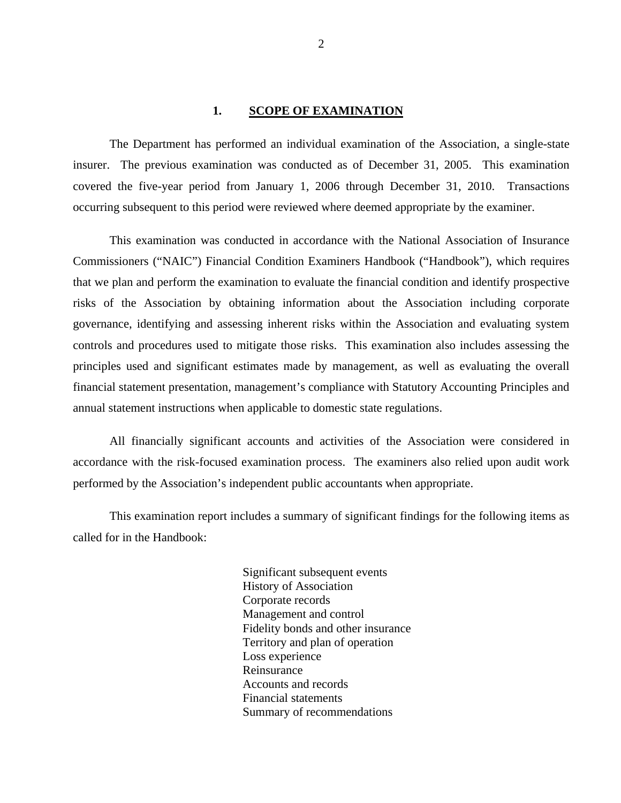#### 1. SCOPE OF EXAMINATION

<span id="page-3-0"></span>The Department has performed an individual examination of the Association, a single-state insurer. The previous examination was conducted as of December 31, 2005. This examination covered the five-year period from January 1, 2006 through December 31, 2010. Transactions occurring subsequent to this period were reviewed where deemed appropriate by the examiner.

This examination was conducted in accordance with the National Association of Insurance Commissioners ("NAIC") Financial Condition Examiners Handbook ("Handbook"), which requires that we plan and perform the examination to evaluate the financial condition and identify prospective risks of the Association by obtaining information about the Association including corporate governance, identifying and assessing inherent risks within the Association and evaluating system controls and procedures used to mitigate those risks. This examination also includes assessing the principles used and significant estimates made by management, as well as evaluating the overall financial statement presentation, management's compliance with Statutory Accounting Principles and annual statement instructions when applicable to domestic state regulations.

All financially significant accounts and activities of the Association were considered in accordance with the risk-focused examination process. The examiners also relied upon audit work performed by the Association's independent public accountants when appropriate.

This examination report includes a summary of significant findings for the following items as called for in the Handbook:

> Significant subsequent events History of Association Corporate records Management and control Fidelity bonds and other insurance Territory and plan of operation Loss experience Reinsurance Accounts and records Financial statements Summary of recommendations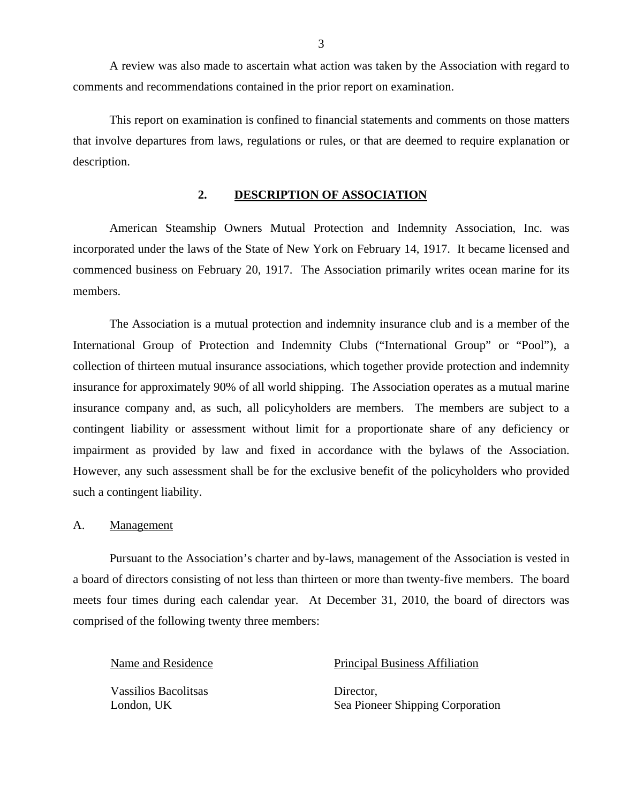A review was also made to ascertain what action was taken by the Association with regard to comments and recommendations contained in the prior report on examination.

This report on examination is confined to financial statements and comments on those matters that involve departures from laws, regulations or rules, or that are deemed to require explanation or description.

### **2. DESCRIPTION OF ASSOCIATION**

American Steamship Owners Mutual Protection and Indemnity Association, Inc. was incorporated under the laws of the State of New York on February 14, 1917. It became licensed and commenced business on February 20, 1917. The Association primarily writes ocean marine for its members.

The Association is a mutual protection and indemnity insurance club and is a member of the International Group of Protection and Indemnity Clubs ("International Group" or "Pool"), a collection of thirteen mutual insurance associations, which together provide protection and indemnity insurance for approximately 90% of all world shipping. The Association operates as a mutual marine insurance company and, as such, all policyholders are members. The members are subject to a contingent liability or assessment without limit for a proportionate share of any deficiency or impairment as provided by law and fixed in accordance with the bylaws of the Association. However, any such assessment shall be for the exclusive benefit of the policyholders who provided such a contingent liability.

#### A. Management

Pursuant to the Association's charter and by-laws, management of the Association is vested in a board of directors consisting of not less than thirteen or more than twenty-five members. The board meets four times during each calendar year. At December 31, 2010, the board of directors was comprised of the following twenty three members:

Vassilios Bacolitsas Director,

#### Name and Residence Principal Business Affiliation

London, UK Sea Pioneer Shipping Corporation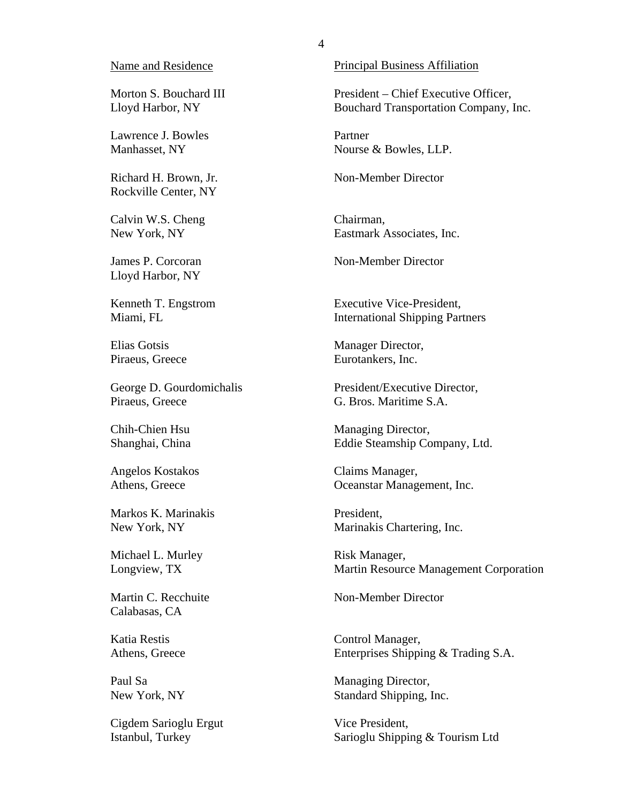#### Name and Residence

Morton S. Bouchard III Lloyd Harbor, NY

Lawrence J. Bowles Manhasset, NY

Richard H. Brown, Jr. Rockville Center, NY

Calvin W.S. Cheng New York, NY

James P. Corcoran Lloyd Harbor, NY

Kenneth T. Engstrom Miami, FL

Elias Gotsis Piraeus, Greece

George D. Gourdomichalis Piraeus, Greece

Chih-Chien Hsu Shanghai, China

Angelos Kostakos Athens, Greece

Markos K. Marinakis New York, NY

Michael L. Murley Longview, TX

Martin C. Recchuite Calabasas, CA

Katia Restis Athens, Greece

Paul Sa New York, NY

Cigdem Sarioglu Ergut Istanbul, Turkey

Principal Business Affiliation

President – Chief Executive Officer, Bouchard Transportation Company, Inc.

Partner Nourse & Bowles, LLP.

Non-Member Director

Chairman, Eastmark Associates, Inc.

Non-Member Director

Executive Vice-President, International Shipping Partners

Manager Director, Eurotankers, Inc.

President/Executive Director, G. Bros. Maritime S.A.

Managing Director, Eddie Steamship Company, Ltd.

Claims Manager, Oceanstar Management, Inc.

President, Marinakis Chartering, Inc.

Risk Manager, Martin Resource Management Corporation

Non-Member Director

Control Manager, Enterprises Shipping & Trading S.A.

Managing Director, Standard Shipping, Inc.

Vice President, Sarioglu Shipping & Tourism Ltd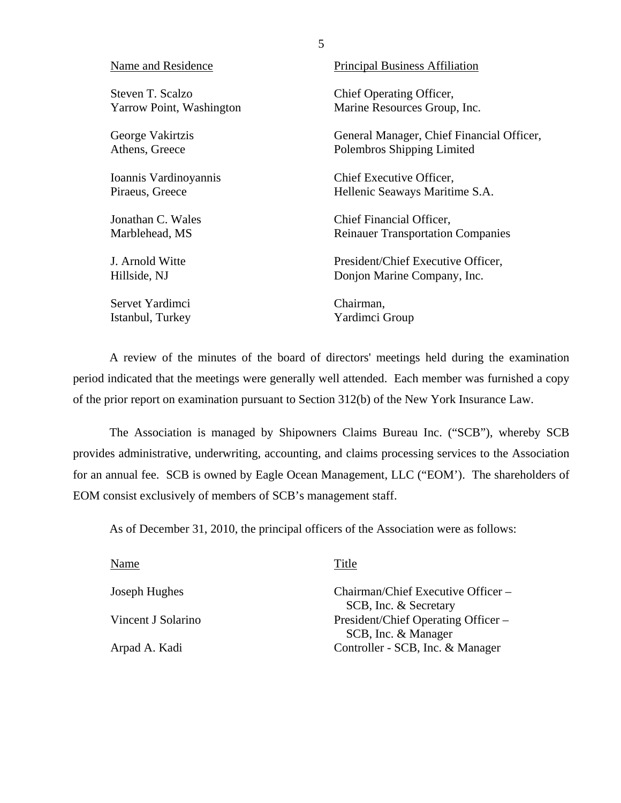| Name and Residence       | <b>Principal Business Affiliation</b>     |
|--------------------------|-------------------------------------------|
| Steven T. Scalzo         | Chief Operating Officer,                  |
| Yarrow Point, Washington | Marine Resources Group, Inc.              |
| George Vakirtzis         | General Manager, Chief Financial Officer, |
| Athens, Greece           | Polembros Shipping Limited                |
| Ioannis Vardinoyannis    | Chief Executive Officer,                  |
| Piraeus, Greece          | Hellenic Seaways Maritime S.A.            |
| Jonathan C. Wales        | Chief Financial Officer,                  |
| Marblehead, MS           | <b>Reinauer Transportation Companies</b>  |
| J. Arnold Witte          | President/Chief Executive Officer,        |
| Hillside, NJ             | Donjon Marine Company, Inc.               |
| Servet Yardimci          | Chairman,                                 |
| Istanbul, Turkey         | Yardimci Group                            |

A review of the minutes of the board of directors' meetings held during the examination period indicated that the meetings were generally well attended. Each member was furnished a copy of the prior report on examination pursuant to Section 312(b) of the New York Insurance Law.

The Association is managed by Shipowners Claims Bureau Inc. ("SCB"), whereby SCB provides administrative, underwriting, accounting, and claims processing services to the Association for an annual fee. SCB is owned by Eagle Ocean Management, LLC ("EOM'). The shareholders of EOM consist exclusively of members of SCB's management staff.

As of December 31, 2010, the principal officers of the Association were as follows:

| Name               | Title                                                        |
|--------------------|--------------------------------------------------------------|
| Joseph Hughes      | Chairman/Chief Executive Officer –                           |
| Vincent J Solarino | SCB, Inc. & Secretary<br>President/Chief Operating Officer – |
| Arpad A. Kadi      | SCB, Inc. & Manager<br>Controller - SCB, Inc. & Manager      |
|                    |                                                              |

5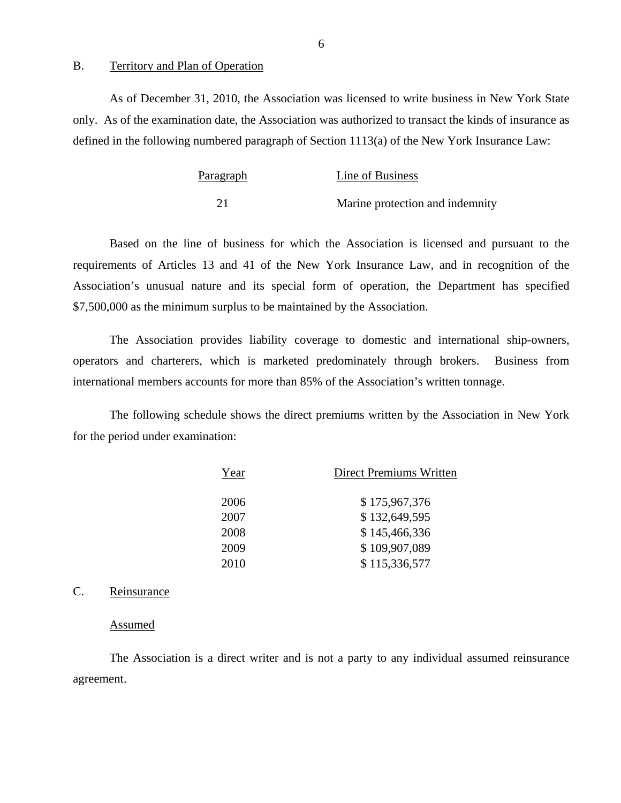#### B. Territory and Plan of Operation

As of December 31, 2010, the Association was licensed to write business in New York State only. As of the examination date, the Association was authorized to transact the kinds of insurance as defined in the following numbered paragraph of Section 1113(a) of the New York Insurance Law:

| Paragraph | Line of Business                |
|-----------|---------------------------------|
|           | Marine protection and indemnity |

Based on the line of business for which the Association is licensed and pursuant to the requirements of Articles 13 and 41 of the New York Insurance Law, and in recognition of the Association's unusual nature and its special form of operation, the Department has specified \$7,500,000 as the minimum surplus to be maintained by the Association.

The Association provides liability coverage to domestic and international ship-owners, operators and charterers, which is marketed predominately through brokers. Business from international members accounts for more than 85% of the Association's written tonnage.

The following schedule shows the direct premiums written by the Association in New York for the period under examination:

| Year | <b>Direct Premiums Written</b> |
|------|--------------------------------|
| 2006 | \$175,967,376                  |
| 2007 | \$132,649,595                  |
| 2008 | \$145,466,336                  |
| 2009 | \$109,907,089                  |
| 2010 | \$115,336,577                  |

## C. Reinsurance

#### Assumed

The Association is a direct writer and is not a party to any individual assumed reinsurance agreement.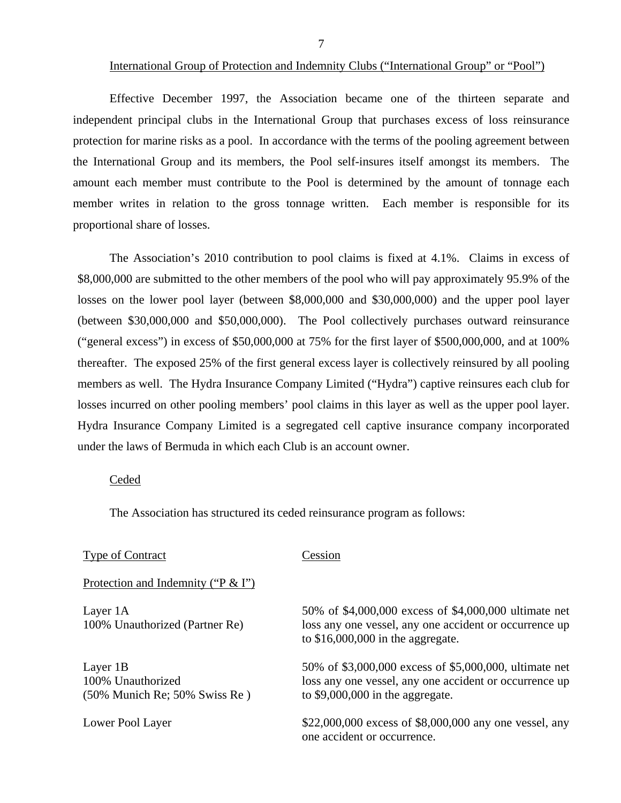#### International Group of Protection and Indemnity Clubs ("International Group" or "Pool")

Effective December 1997, the Association became one of the thirteen separate and independent principal clubs in the International Group that purchases excess of loss reinsurance protection for marine risks as a pool. In accordance with the terms of the pooling agreement between the International Group and its members, the Pool self-insures itself amongst its members. The amount each member must contribute to the Pool is determined by the amount of tonnage each member writes in relation to the gross tonnage written. Each member is responsible for its proportional share of losses.

The Association's 2010 contribution to pool claims is fixed at 4.1%. Claims in excess of \$8,000,000 are submitted to the other members of the pool who will pay approximately 95.9% of the losses on the lower pool layer (between \$8,000,000 and \$30,000,000) and the upper pool layer (between \$30,000,000 and \$50,000,000). The Pool collectively purchases outward reinsurance ("general excess") in excess of \$50,000,000 at 75% for the first layer of \$500,000,000, and at 100% thereafter. The exposed 25% of the first general excess layer is collectively reinsured by all pooling members as well. The Hydra Insurance Company Limited ("Hydra") captive reinsures each club for losses incurred on other pooling members' pool claims in this layer as well as the upper pool layer. Hydra Insurance Company Limited is a segregated cell captive insurance company incorporated under the laws of Bermuda in which each Club is an account owner.

## Ceded

The Association has structured its ceded reinsurance program as follows:

### Type of Contract Cession

Protection and Indemnity ("P & I")

 $(50\% \text{ Munich} \text{ Re}; 50\% \text{ Swiss} \text{ Re})$  to \$9,000,000 in the aggregate.

Layer 1A 50% of \$4,000,000 excess of \$4,000,000 ultimate net 100% Unauthorized (Partner Re) loss any one vessel, any one accident or occurrence up to \$16,000,000 in the aggregate.

Layer 1B 50% of \$3,000,000 excess of \$5,000,000, ultimate net 100% Unauthorized loss any one vessel, any one accident or occurrence up

Lower Pool Layer  $$22,000,000$  excess of \$8,000,000 any one vessel, any one accident or occurrence.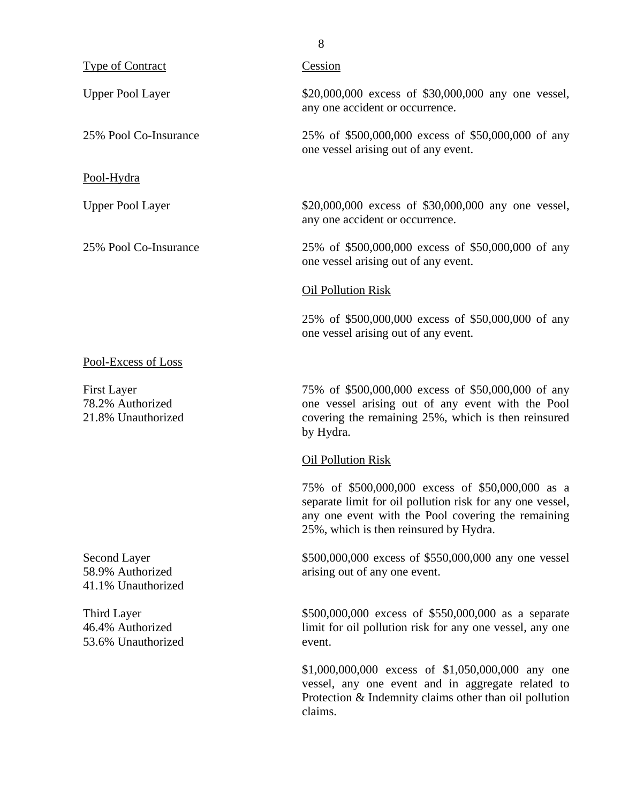| <b>Type of Contract</b>                                      | Cession                                                                                                                                                                                                       |
|--------------------------------------------------------------|---------------------------------------------------------------------------------------------------------------------------------------------------------------------------------------------------------------|
| <b>Upper Pool Layer</b>                                      | \$20,000,000 excess of \$30,000,000 any one vessel,<br>any one accident or occurrence.                                                                                                                        |
| 25% Pool Co-Insurance                                        | 25% of \$500,000,000 excess of \$50,000,000 of any<br>one vessel arising out of any event.                                                                                                                    |
| Pool-Hydra                                                   |                                                                                                                                                                                                               |
| <b>Upper Pool Layer</b>                                      | \$20,000,000 excess of \$30,000,000 any one vessel,<br>any one accident or occurrence.                                                                                                                        |
| 25% Pool Co-Insurance                                        | 25% of \$500,000,000 excess of \$50,000,000 of any<br>one vessel arising out of any event.                                                                                                                    |
|                                                              | Oil Pollution Risk                                                                                                                                                                                            |
|                                                              | 25% of \$500,000,000 excess of \$50,000,000 of any<br>one vessel arising out of any event.                                                                                                                    |
| Pool-Excess of Loss                                          |                                                                                                                                                                                                               |
| <b>First Layer</b><br>78.2% Authorized<br>21.8% Unauthorized | 75% of \$500,000,000 excess of \$50,000,000 of any<br>one vessel arising out of any event with the Pool<br>covering the remaining 25%, which is then reinsured<br>by Hydra.                                   |
|                                                              | <b>Oil Pollution Risk</b>                                                                                                                                                                                     |
|                                                              | 75% of \$500,000,000 excess of \$50,000,000 as a<br>separate limit for oil pollution risk for any one vessel,<br>any one event with the Pool covering the remaining<br>25%, which is then reinsured by Hydra. |
| Second Layer<br>58.9% Authorized<br>41.1% Unauthorized       | \$500,000,000 excess of \$550,000,000 any one vessel<br>arising out of any one event.                                                                                                                         |
| Third Layer<br>46.4% Authorized<br>53.6% Unauthorized        | \$500,000,000 excess of \$550,000,000 as a separate<br>limit for oil pollution risk for any one vessel, any one<br>event.                                                                                     |
|                                                              | \$1,000,000,000 excess of \$1,050,000,000 any one<br>vessel, any one event and in aggregate related to<br>Protection & Indemnity claims other than oil pollution<br>claims.                                   |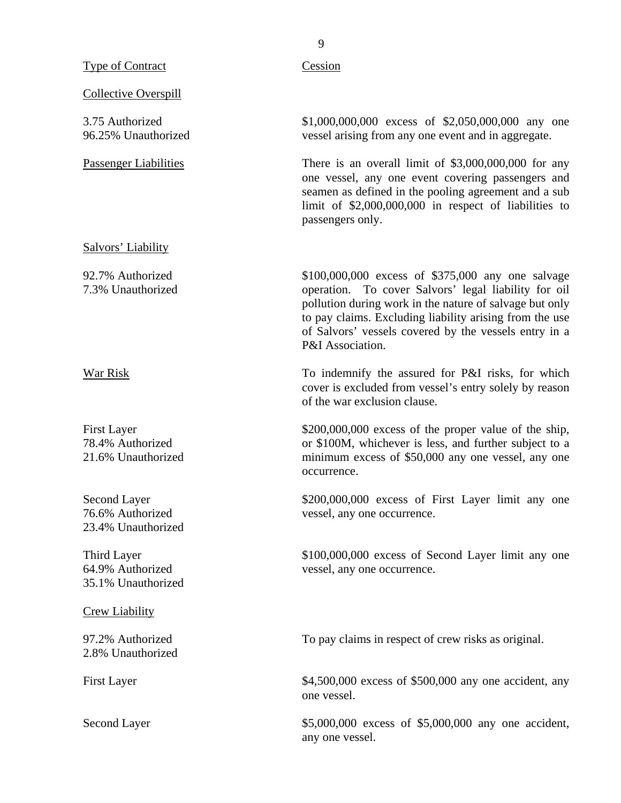Type of Contract Cession

Collective Overspill

Salvors' Liability

23.4% Unauthorized

35.1% Unauthorized

Crew Liability

2.8% Unauthorized

3.75 Authorized \$1,000,000,000 excess of \$2,050,000,000 any one 96.25% Unauthorized vessel arising from any one event and in aggregate.

Passenger Liabilities There is an overall limit of \$3,000,000,000 for any one vessel, any one event covering passengers and seamen as defined in the pooling agreement and a sub limit of \$2,000,000,000 in respect of liabilities to passengers only.

92.7% Authorized \$100,000,000 excess of \$375,000 any one salvage 7.3% Unauthorized operation. To cover Salvors' legal liability for oil pollution during work in the nature of salvage but only to pay claims. Excluding liability arising from the use of Salvors' vessels covered by the vessels entry in a P&I Association.

War Risk To indemnify the assured for P&I risks, for which cover is excluded from vessel's entry solely by reason of the war exclusion clause.

First Layer \$200,000,000 excess of the proper value of the ship, 78.4% Authorized or \$100M, whichever is less, and further subject to a 21.6% Unauthorized minimum excess of \$50,000 any one vessel, any one occurrence.

Second Layer \$200,000,000 excess of First Layer limit any one 76.6% Authorized vessel, any one occurrence.

Third Layer  $$100,000,000$  excess of Second Layer limit any one 64.9% Authorized vessel, any one occurrence.

97.2% Authorized To pay claims in respect of crew risks as original.

First Layer \$4,500,000 excess of \$500,000 any one accident, any one vessel.

Second Layer \$5,000,000 excess of \$5,000,000 any one accident, any one vessel.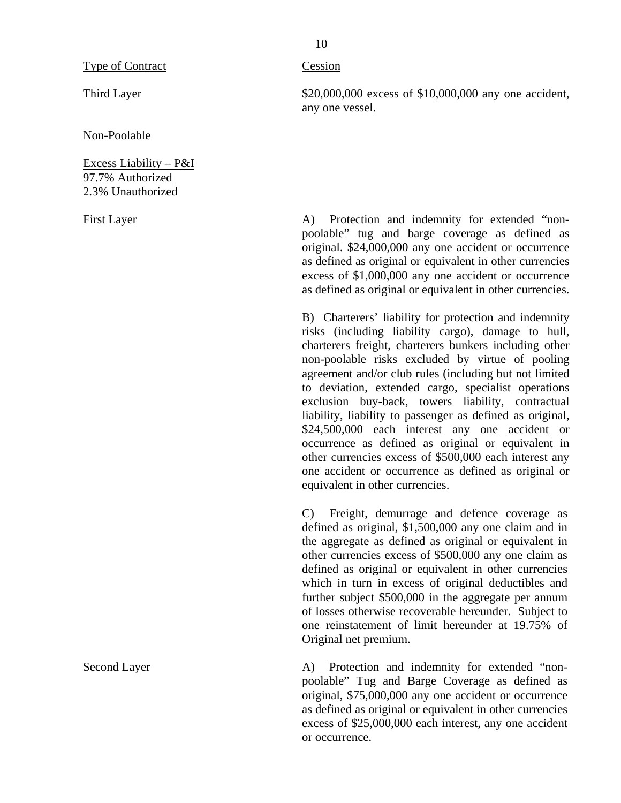Third Layer

Non-Poolable

Excess Liability – P&I 97.7% Authorized 2.3% Unauthorized

First Layer

Second Layer

#### Cession

\$20,000,000 excess of \$10,000,000 any one accident, any one vessel.

A) Protection and indemnity for extended "nonpoolable" tug and barge coverage as defined as original. \$24,000,000 any one accident or occurrence as defined as original or equivalent in other currencies excess of \$1,000,000 any one accident or occurrence as defined as original or equivalent in other currencies.

B) Charterers' liability for protection and indemnity risks (including liability cargo), damage to hull, charterers freight, charterers bunkers including other non-poolable risks excluded by virtue of pooling agreement and/or club rules (including but not limited to deviation, extended cargo, specialist operations exclusion buy-back, towers liability, contractual liability, liability to passenger as defined as original, \$24,500,000 each interest any one accident or occurrence as defined as original or equivalent in other currencies excess of \$500,000 each interest any one accident or occurrence as defined as original or equivalent in other currencies.

C) Freight, demurrage and defence coverage as defined as original, \$1,500,000 any one claim and in the aggregate as defined as original or equivalent in other currencies excess of \$500,000 any one claim as defined as original or equivalent in other currencies which in turn in excess of original deductibles and further subject \$500,000 in the aggregate per annum of losses otherwise recoverable hereunder. Subject to one reinstatement of limit hereunder at 19.75% of Original net premium.

A) Protection and indemnity for extended "nonpoolable" Tug and Barge Coverage as defined as original, \$75,000,000 any one accident or occurrence as defined as original or equivalent in other currencies excess of \$25,000,000 each interest, any one accident or occurrence.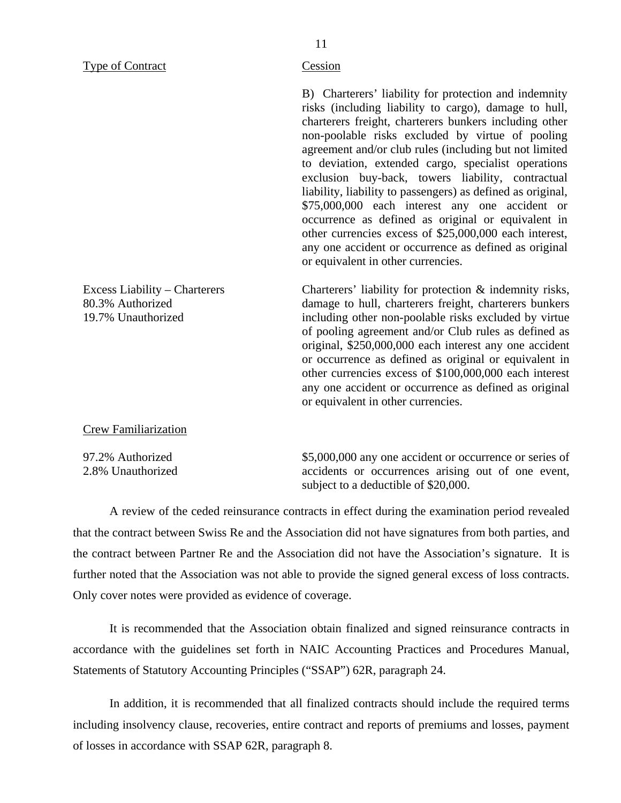Type of Contract Cession

B) Charterers' liability for protection and indemnity risks (including liability to cargo), damage to hull, charterers freight, charterers bunkers including other non-poolable risks excluded by virtue of pooling agreement and/or club rules (including but not limited to deviation, extended cargo, specialist operations exclusion buy-back, towers liability, contractual liability, liability to passengers) as defined as original, \$75,000,000 each interest any one accident or occurrence as defined as original or equivalent in other currencies excess of \$25,000,000 each interest, any one accident or occurrence as defined as original or equivalent in other currencies.

Charterers' liability for protection & indemnity risks, damage to hull, charterers freight, charterers bunkers including other non-poolable risks excluded by virtue of pooling agreement and/or Club rules as defined as original, \$250,000,000 each interest any one accident or occurrence as defined as original or equivalent in other currencies excess of \$100,000,000 each interest any one accident or occurrence as defined as original or equivalent in other currencies.

Crew Familiarization

Excess Liability – Charterers

80.3% Authorized 19.7% Unauthorized

97.2% Authorized 2.8% Unauthorized \$5,000,000 any one accident or occurrence or series of accidents or occurrences arising out of one event, subject to a deductible of \$20,000.

A review of the ceded reinsurance contracts in effect during the examination period revealed that the contract between Swiss Re and the Association did not have signatures from both parties, and the contract between Partner Re and the Association did not have the Association's signature. It is further noted that the Association was not able to provide the signed general excess of loss contracts. Only cover notes were provided as evidence of coverage.

It is recommended that the Association obtain finalized and signed reinsurance contracts in accordance with the guidelines set forth in NAIC Accounting Practices and Procedures Manual, Statements of Statutory Accounting Principles ("SSAP") 62R, paragraph 24.

In addition, it is recommended that all finalized contracts should include the required terms including insolvency clause, recoveries, entire contract and reports of premiums and losses, payment of losses in accordance with SSAP 62R, paragraph 8.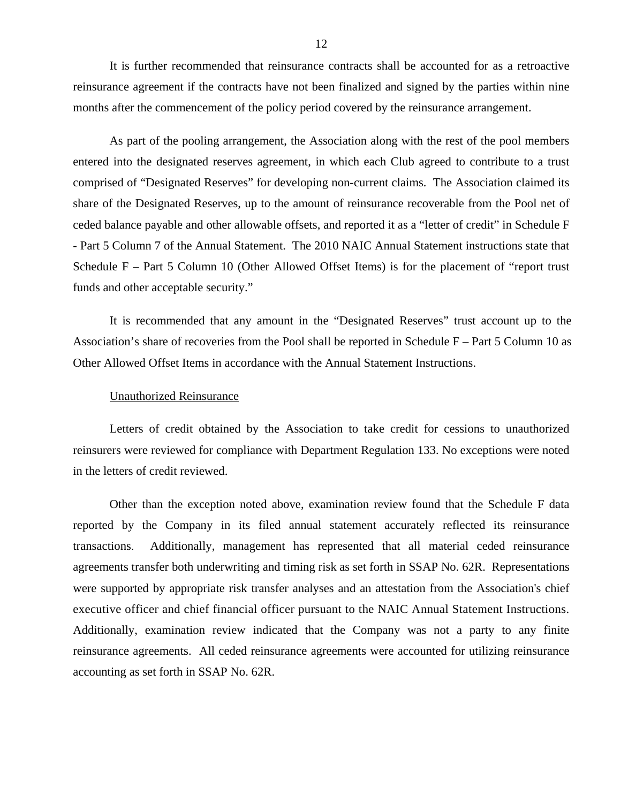It is further recommended that reinsurance contracts shall be accounted for as a retroactive reinsurance agreement if the contracts have not been finalized and signed by the parties within nine months after the commencement of the policy period covered by the reinsurance arrangement.

As part of the pooling arrangement, the Association along with the rest of the pool members entered into the designated reserves agreement, in which each Club agreed to contribute to a trust comprised of "Designated Reserves" for developing non-current claims. The Association claimed its share of the Designated Reserves, up to the amount of reinsurance recoverable from the Pool net of ceded balance payable and other allowable offsets, and reported it as a "letter of credit" in Schedule F - Part 5 Column 7 of the Annual Statement. The 2010 NAIC Annual Statement instructions state that Schedule F – Part 5 Column 10 (Other Allowed Offset Items) is for the placement of "report trust funds and other acceptable security."

It is recommended that any amount in the "Designated Reserves" trust account up to the Association's share of recoveries from the Pool shall be reported in Schedule F – Part 5 Column 10 as Other Allowed Offset Items in accordance with the Annual Statement Instructions.

#### Unauthorized Reinsurance

Letters of credit obtained by the Association to take credit for cessions to unauthorized reinsurers were reviewed for compliance with Department Regulation 133. No exceptions were noted in the letters of credit reviewed.

Other than the exception noted above, examination review found that the Schedule F data reported by the Company in its filed annual statement accurately reflected its reinsurance transactions. Additionally, management has represented that all material ceded reinsurance agreements transfer both underwriting and timing risk as set forth in SSAP No. 62R. Representations were supported by appropriate risk transfer analyses and an attestation from the Association's chief executive officer and chief financial officer pursuant to the NAIC Annual Statement Instructions. Additionally, examination review indicated that the Company was not a party to any finite reinsurance agreements. All ceded reinsurance agreements were accounted for utilizing reinsurance accounting as set forth in SSAP No. 62R.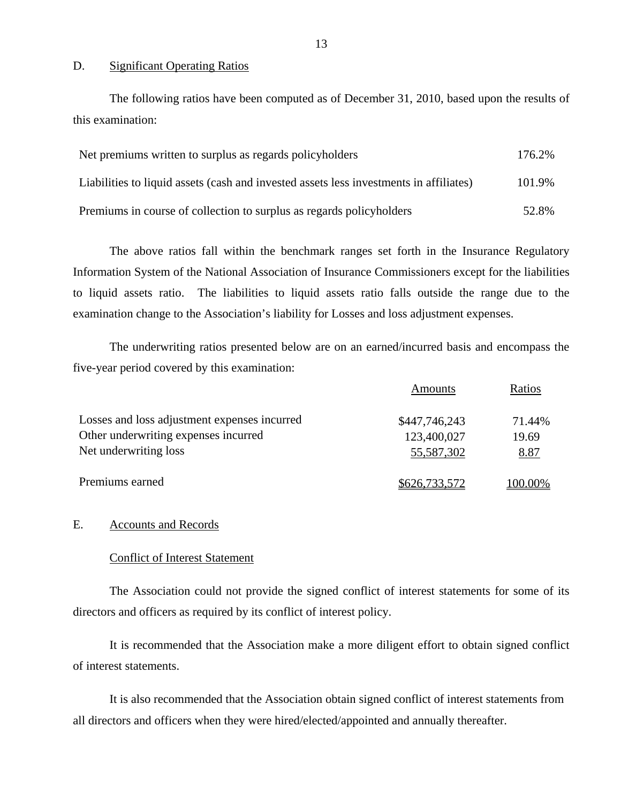#### D. Significant Operating Ratios

The following ratios have been computed as of December 31, 2010, based upon the results of this examination:

| Net premiums written to surplus as regards policyholders                               | 176.2% |
|----------------------------------------------------------------------------------------|--------|
| Liabilities to liquid assets (cash and invested assets less investments in affiliates) | 101.9% |
| Premiums in course of collection to surplus as regards policyholders                   | 52.8%  |

The above ratios fall within the benchmark ranges set forth in the Insurance Regulatory Information System of the National Association of Insurance Commissioners except for the liabilities to liquid assets ratio. The liabilities to liquid assets ratio falls outside the range due to the examination change to the Association's liability for Losses and loss adjustment expenses.

The underwriting ratios presented below are on an earned/incurred basis and encompass the five-year period covered by this examination:

|                                              | Amounts       | Ratios  |
|----------------------------------------------|---------------|---------|
| Losses and loss adjustment expenses incurred | \$447,746,243 | 71.44%  |
| Other underwriting expenses incurred         | 123,400,027   | 19.69   |
| Net underwriting loss                        | 55,587,302    | 8.87    |
| Premiums earned                              | \$626,733,572 | 100.00% |

## E. Accounts and Records

### Conflict of Interest Statement

The Association could not provide the signed conflict of interest statements for some of its directors and officers as required by its conflict of interest policy.

It is recommended that the Association make a more diligent effort to obtain signed conflict of interest statements.

It is also recommended that the Association obtain signed conflict of interest statements from all directors and officers when they were hired/elected/appointed and annually thereafter.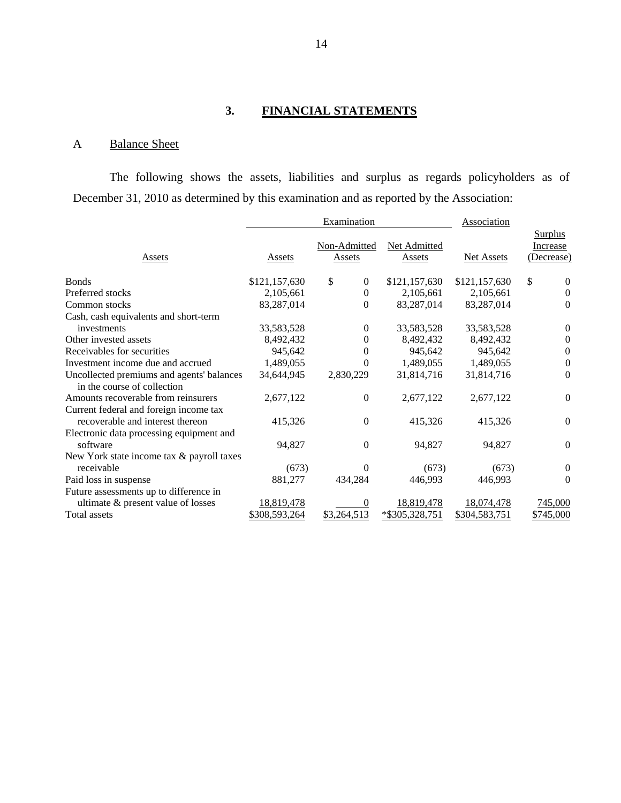## **3. FINANCIAL STATEMENTS**

## A Balance Sheet

The following shows the assets, liabilities and surplus as regards policyholders as of December 31, 2010 as determined by this examination and as reported by the Association:

|                                                                          |                   | Examination                   |                        | Association   |                                          |
|--------------------------------------------------------------------------|-------------------|-------------------------------|------------------------|---------------|------------------------------------------|
| Assets                                                                   | Assets            | Non-Admitted<br><b>Assets</b> | Net Admitted<br>Assets | Net Assets    | <b>Surplus</b><br>Increase<br>(Decrease) |
| <b>Bonds</b>                                                             | \$121,157,630     | \$<br>$\boldsymbol{0}$        | \$121,157,630          | \$121,157,630 | \$<br>$\boldsymbol{0}$                   |
| Preferred stocks                                                         | 2,105,661         | $\theta$                      | 2,105,661              | 2,105,661     | $\theta$                                 |
| Common stocks                                                            | 83,287,014        | $\overline{0}$                | 83,287,014             | 83,287,014    | $\theta$                                 |
| Cash, cash equivalents and short-term                                    |                   |                               |                        |               |                                          |
| investments                                                              | 33,583,528        | 0                             | 33,583,528             | 33,583,528    | $\theta$                                 |
| Other invested assets                                                    | 8,492,432         | 0                             | 8,492,432              | 8,492,432     | $\Omega$                                 |
| Receivables for securities                                               | 945,642           | $\theta$                      | 945,642                | 945,642       | $\boldsymbol{0}$                         |
| Investment income due and accrued                                        | 1,489,055         | $\boldsymbol{0}$              | 1,489,055              | 1,489,055     | $\boldsymbol{0}$                         |
| Uncollected premiums and agents' balances<br>in the course of collection | 34,644,945        | 2,830,229                     | 31,814,716             | 31,814,716    | $\Omega$                                 |
| Amounts recoverable from reinsurers                                      | 2,677,122         | $\theta$                      | 2,677,122              | 2,677,122     | $\theta$                                 |
| Current federal and foreign income tax                                   |                   |                               |                        |               |                                          |
| recoverable and interest thereon                                         | 415,326           | $\mathbf{0}$                  | 415,326                | 415,326       | $\Omega$                                 |
| Electronic data processing equipment and<br>software                     | 94,827            | $\mathbf{0}$                  | 94,827                 | 94,827        | $\Omega$                                 |
| New York state income tax & payroll taxes                                |                   |                               |                        |               |                                          |
| receivable                                                               | (673)             | 0                             | (673)                  | (673)         | $\overline{0}$                           |
| Paid loss in suspense                                                    | 881,277           | 434,284                       | 446,993                | 446,993       | $\Omega$                                 |
| Future assessments up to difference in                                   |                   |                               |                        |               |                                          |
| ultimate & present value of losses                                       | <u>18,819,478</u> | 0                             | 18,819,478             | 18,074,478    | 745,000                                  |
| Total assets                                                             | \$308,593,264     | \$3,264,513                   | *\$305,328,751         | \$304,583,751 | \$745,000                                |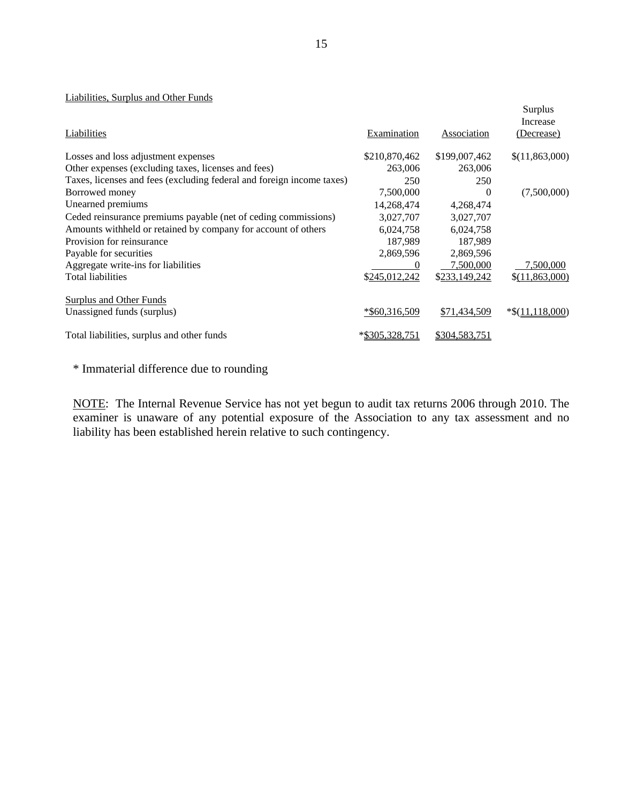#### Liabilities, Surplus and Other Funds

|                                                                       |                    |                    | Surplus<br>Increase |
|-----------------------------------------------------------------------|--------------------|--------------------|---------------------|
| Liabilities                                                           | <b>Examination</b> | <b>Association</b> | (Decrease)          |
| Losses and loss adjustment expenses                                   | \$210,870,462      | \$199,007,462      | \$(11,863,000)      |
| Other expenses (excluding taxes, licenses and fees)                   | 263,006            | 263,006            |                     |
| Taxes, licenses and fees (excluding federal and foreign income taxes) | 250                | 250                |                     |
| Borrowed money                                                        | 7,500,000          | $\Omega$           | (7,500,000)         |
| Unearned premiums                                                     | 14,268,474         | 4,268,474          |                     |
| Ceded reinsurance premiums payable (net of ceding commissions)        | 3,027,707          | 3,027,707          |                     |
| Amounts withheld or retained by company for account of others         | 6,024,758          | 6,024,758          |                     |
| Provision for reinsurance                                             | 187,989            | 187,989            |                     |
| Payable for securities                                                | 2,869,596          | 2,869,596          |                     |
| Aggregate write-ins for liabilities                                   |                    | 7,500,000          | 7,500,000           |
| Total liabilities                                                     | \$245,012,242      | \$233,149,242      | \$(11,863,000)      |
| <b>Surplus and Other Funds</b>                                        |                    |                    |                     |
| Unassigned funds (surplus)                                            | *\$60,316,509      | \$71,434,509       | $*$(11,118,000)$    |
| Total liabilities, surplus and other funds                            | *\$305.328.751     | \$304,583,751      |                     |

\* Immaterial difference due to rounding

NOTE: The Internal Revenue Service has not yet begun to audit tax returns 2006 through 2010. The examiner is unaware of any potential exposure of the Association to any tax assessment and no liability has been established herein relative to such contingency.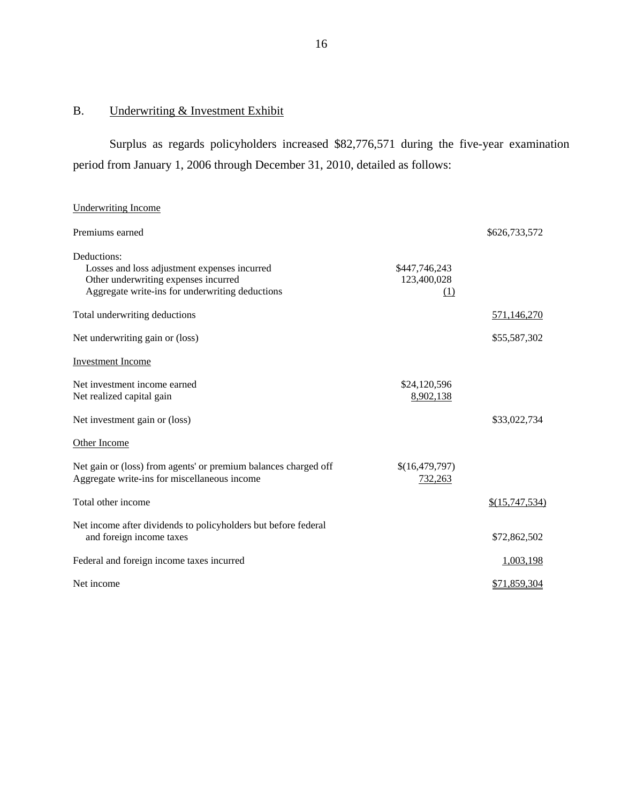## <span id="page-17-0"></span>B. Underwriting & Investment Exhibit

Surplus as regards policyholders increased \$82,776,571 during the five-year examination period from January 1, 2006 through December 31, 2010, detailed as follows:

## Underwriting Income

| Premiums earned                                                                                                                                        |                                     | \$626,733,572  |
|--------------------------------------------------------------------------------------------------------------------------------------------------------|-------------------------------------|----------------|
| Deductions:<br>Losses and loss adjustment expenses incurred<br>Other underwriting expenses incurred<br>Aggregate write-ins for underwriting deductions | \$447,746,243<br>123,400,028<br>(1) |                |
| Total underwriting deductions                                                                                                                          |                                     | 571,146,270    |
| Net underwriting gain or (loss)                                                                                                                        |                                     | \$55,587,302   |
| <b>Investment Income</b>                                                                                                                               |                                     |                |
| Net investment income earned<br>Net realized capital gain                                                                                              | \$24,120,596<br>8,902,138           |                |
| Net investment gain or (loss)                                                                                                                          |                                     | \$33,022,734   |
| Other Income                                                                                                                                           |                                     |                |
| Net gain or (loss) from agents' or premium balances charged off<br>Aggregate write-ins for miscellaneous income                                        | \$(16,479,797)<br>732,263           |                |
| Total other income                                                                                                                                     |                                     | \$(15,747,534) |
| Net income after dividends to policyholders but before federal<br>and foreign income taxes                                                             |                                     | \$72,862,502   |
| Federal and foreign income taxes incurred                                                                                                              |                                     | 1,003,198      |
| Net income                                                                                                                                             |                                     | \$71,859,304   |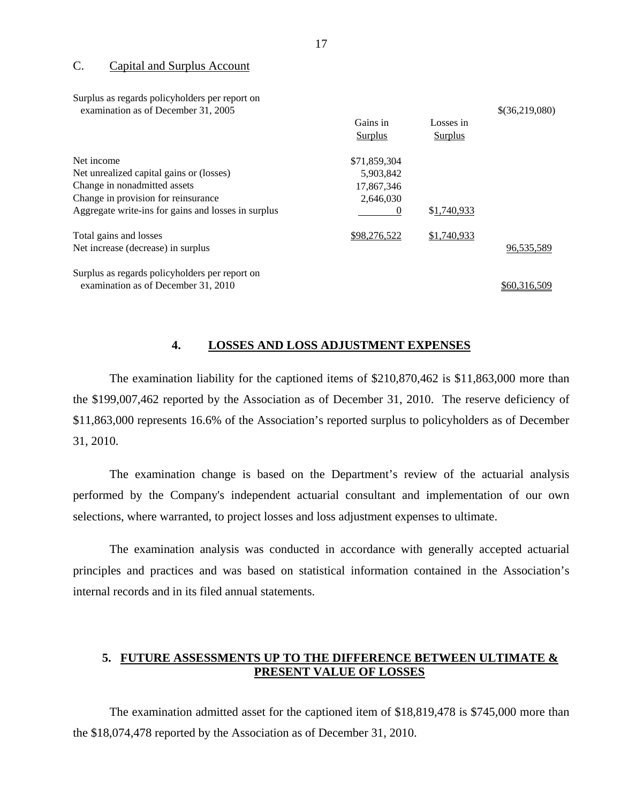#### C. Capital and Surplus Account

Surplus as regards policyholders per report on

| Surprus as regards porteynomers per report on<br>examination as of December 31, 2005 |                |                | \$(36,219,080) |
|--------------------------------------------------------------------------------------|----------------|----------------|----------------|
|                                                                                      | Gains in       | Losses in      |                |
|                                                                                      | <b>Surplus</b> | <b>Surplus</b> |                |
| Net income                                                                           | \$71,859,304   |                |                |
| Net unrealized capital gains or (losses)                                             | 5,903,842      |                |                |
| Change in nonadmitted assets                                                         | 17,867,346     |                |                |
| Change in provision for reinsurance                                                  | 2,646,030      |                |                |
| Aggregate write-ins for gains and losses in surplus                                  | $\theta$       | \$1,740,933    |                |
| Total gains and losses                                                               | \$98,276,522   | \$1,740,933    |                |
| Net increase (decrease) in surplus                                                   |                |                | 96,535,589     |
| Surplus as regards policyholders per report on                                       |                |                |                |
| examination as of December 31, 2010                                                  |                |                | \$60.316.509   |

#### **4. LOSSES AND LOSS ADJUSTMENT EXPENSES**

The examination liability for the captioned items of \$210,870,462 is \$11,863,000 more than the \$199,007,462 reported by the Association as of December 31, 2010. The reserve deficiency of \$11,863,000 represents 16.6% of the Association's reported surplus to policyholders as of December 31, 2010.

The examination change is based on the Department's review of the actuarial analysis performed by the Company's independent actuarial consultant and implementation of our own selections, where warranted, to project losses and loss adjustment expenses to ultimate.

The examination analysis was conducted in accordance with generally accepted actuarial principles and practices and was based on statistical information contained in the Association's internal records and in its filed annual statements.

## **5. FUTURE ASSESSMENTS UP TO THE DIFFERENCE BETWEEN ULTIMATE & PRESENT VALUE OF LOSSES**

The examination admitted asset for the captioned item of \$18,819,478 is \$745,000 more than the \$18,074,478 reported by the Association as of December 31, 2010.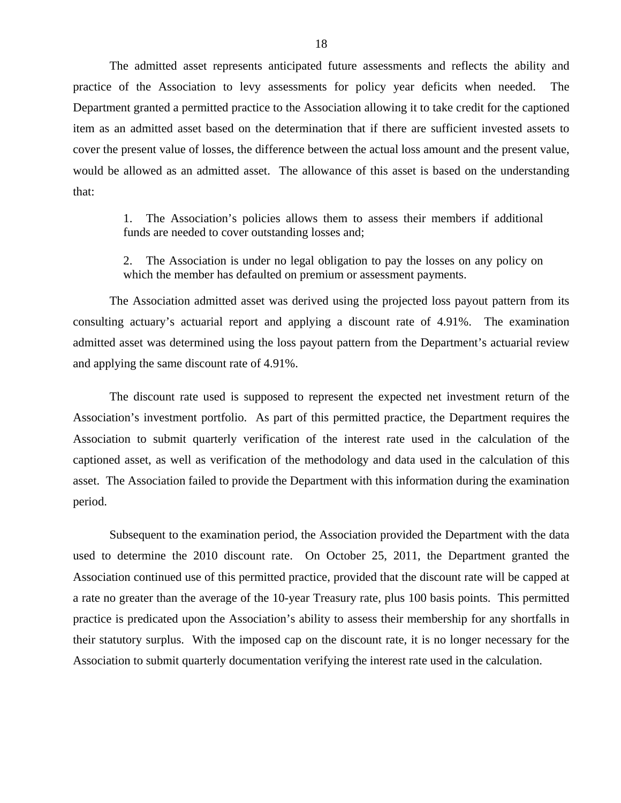The admitted asset represents anticipated future assessments and reflects the ability and practice of the Association to levy assessments for policy year deficits when needed. The Department granted a permitted practice to the Association allowing it to take credit for the captioned item as an admitted asset based on the determination that if there are sufficient invested assets to cover the present value of losses, the difference between the actual loss amount and the present value, would be allowed as an admitted asset. The allowance of this asset is based on the understanding that:

> 1. The Association's policies allows them to assess their members if additional funds are needed to cover outstanding losses and;

> 2. The Association is under no legal obligation to pay the losses on any policy on which the member has defaulted on premium or assessment payments.

The Association admitted asset was derived using the projected loss payout pattern from its consulting actuary's actuarial report and applying a discount rate of 4.91%. The examination admitted asset was determined using the loss payout pattern from the Department's actuarial review and applying the same discount rate of 4.91%.

The discount rate used is supposed to represent the expected net investment return of the Association's investment portfolio. As part of this permitted practice, the Department requires the Association to submit quarterly verification of the interest rate used in the calculation of the captioned asset, as well as verification of the methodology and data used in the calculation of this asset. The Association failed to provide the Department with this information during the examination period.

Subsequent to the examination period, the Association provided the Department with the data used to determine the 2010 discount rate. On October 25, 2011, the Department granted the Association continued use of this permitted practice, provided that the discount rate will be capped at a rate no greater than the average of the 10-year Treasury rate, plus 100 basis points. This permitted practice is predicated upon the Association's ability to assess their membership for any shortfalls in their statutory surplus. With the imposed cap on the discount rate, it is no longer necessary for the Association to submit quarterly documentation verifying the interest rate used in the calculation.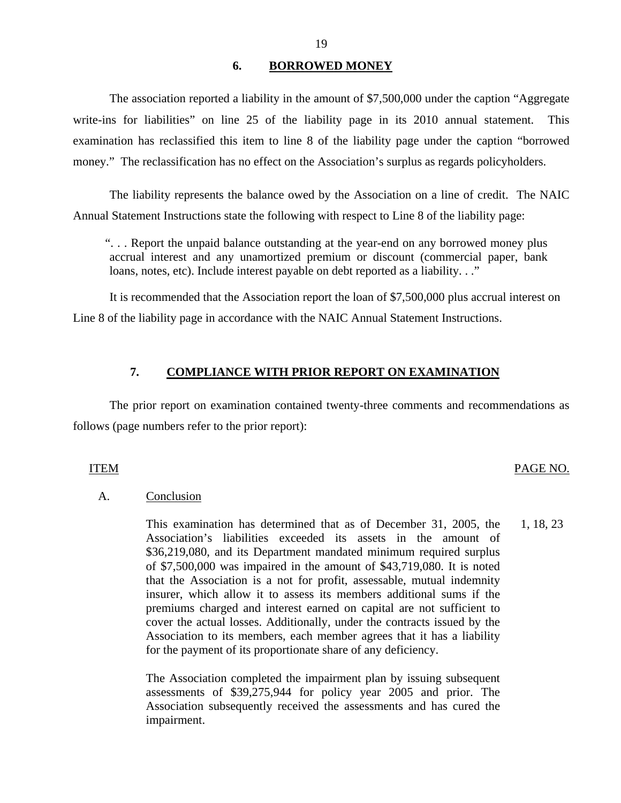#### **6. BORROWED MONEY**

<span id="page-20-0"></span>The association reported a liability in the amount of \$7,500,000 under the caption "Aggregate write-ins for liabilities" on line 25 of the liability page in its 2010 annual statement. This examination has reclassified this item to line 8 of the liability page under the caption "borrowed money." The reclassification has no effect on the Association's surplus as regards policyholders.

The liability represents the balance owed by the Association on a line of credit. The NAIC Annual Statement Instructions state the following with respect to Line 8 of the liability page:

". . . Report the unpaid balance outstanding at the year-end on any borrowed money plus accrual interest and any unamortized premium or discount (commercial paper, bank loans, notes, etc). Include interest payable on debt reported as a liability. . ."

It is recommended that the Association report the loan of \$7,500,000 plus accrual interest on Line 8 of the liability page in accordance with the NAIC Annual Statement Instructions.

#### **7. COMPLIANCE WITH PRIOR REPORT ON EXAMINATION**

The prior report on examination contained twenty-three comments and recommendations as follows (page numbers refer to the prior report):

#### ITEM PAGE NO.

#### A. Conclusion

This examination has determined that as of December 31, 2005, the 1, 18, 23 Association's liabilities exceeded its assets in the amount of \$36,219,080, and its Department mandated minimum required surplus of \$7,500,000 was impaired in the amount of \$43,719,080. It is noted that the Association is a not for profit, assessable, mutual indemnity insurer, which allow it to assess its members additional sums if the premiums charged and interest earned on capital are not sufficient to cover the actual losses. Additionally, under the contracts issued by the Association to its members, each member agrees that it has a liability for the payment of its proportionate share of any deficiency.

The Association completed the impairment plan by issuing subsequent assessments of \$39,275,944 for policy year 2005 and prior. The Association subsequently received the assessments and has cured the impairment.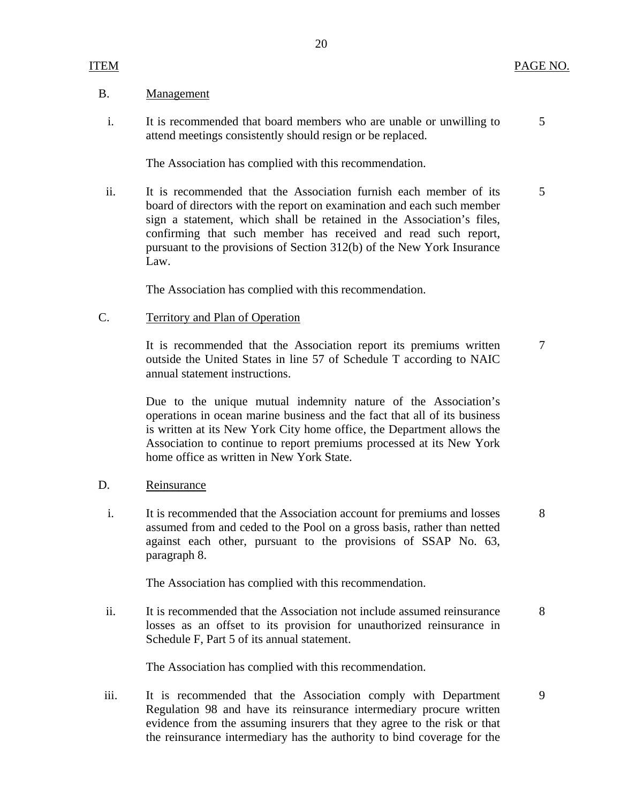#### B. Management

i. It is recommended that board members who are unable or unwilling to 5 attend meetings consistently should resign or be replaced.

The Association has complied with this recommendation.

ii. It is recommended that the Association furnish each member of its 5 board of directors with the report on examination and each such member sign a statement, which shall be retained in the Association's files, confirming that such member has received and read such report, pursuant to the provisions of Section 312(b) of the New York Insurance Law.

The Association has complied with this recommendation.

C. Territory and Plan of Operation

It is recommended that the Association report its premiums written 7 outside the United States in line 57 of Schedule T according to NAIC annual statement instructions.

Due to the unique mutual indemnity nature of the Association's operations in ocean marine business and the fact that all of its business is written at its New York City home office, the Department allows the Association to continue to report premiums processed at its New York home office as written in New York State.

#### D. Reinsurance

i. It is recommended that the Association account for premiums and losses 8 assumed from and ceded to the Pool on a gross basis, rather than netted against each other, pursuant to the provisions of SSAP No. 63, paragraph 8.

The Association has complied with this recommendation.

ii. It is recommended that the Association not include assumed reinsurance 8 losses as an offset to its provision for unauthorized reinsurance in Schedule F, Part 5 of its annual statement.

The Association has complied with this recommendation.

iii. It is recommended that the Association comply with Department 9 Regulation 98 and have its reinsurance intermediary procure written evidence from the assuming insurers that they agree to the risk or that the reinsurance intermediary has the authority to bind coverage for the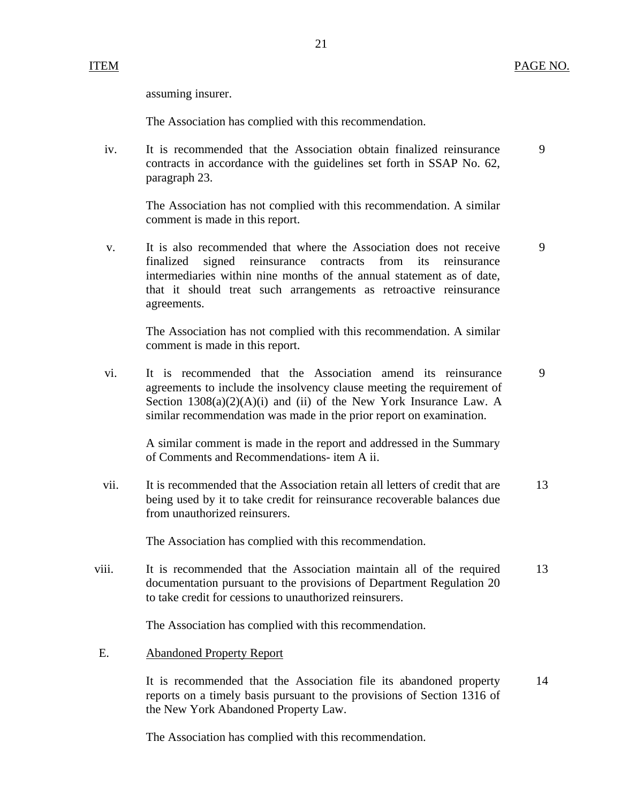assuming insurer.

The Association has complied with this recommendation.

iv. It is recommended that the Association obtain finalized reinsurance 9 contracts in accordance with the guidelines set forth in SSAP No. 62, paragraph 23.

21

The Association has not complied with this recommendation. A similar comment is made in this report.

v. It is also recommended that where the Association does not receive 9 finalized signed reinsurance contracts from its reinsurance intermediaries within nine months of the annual statement as of date, that it should treat such arrangements as retroactive reinsurance agreements.

The Association has not complied with this recommendation. A similar comment is made in this report.

vi. It is recommended that the Association amend its reinsurance 9 agreements to include the insolvency clause meeting the requirement of Section  $1308(a)(2)(A)(i)$  and (ii) of the New York Insurance Law. A similar recommendation was made in the prior report on examination.

A similar comment is made in the report and addressed in the Summary of Comments and Recommendations- item A ii.

vii. It is recommended that the Association retain all letters of credit that are 13 being used by it to take credit for reinsurance recoverable balances due from unauthorized reinsurers.

The Association has complied with this recommendation.

viii. It is recommended that the Association maintain all of the required 13 documentation pursuant to the provisions of Department Regulation 20 to take credit for cessions to unauthorized reinsurers.

The Association has complied with this recommendation.

E. Abandoned Property Report

It is recommended that the Association file its abandoned property 14 reports on a timely basis pursuant to the provisions of Section 1316 of the New York Abandoned Property Law.

The Association has complied with this recommendation.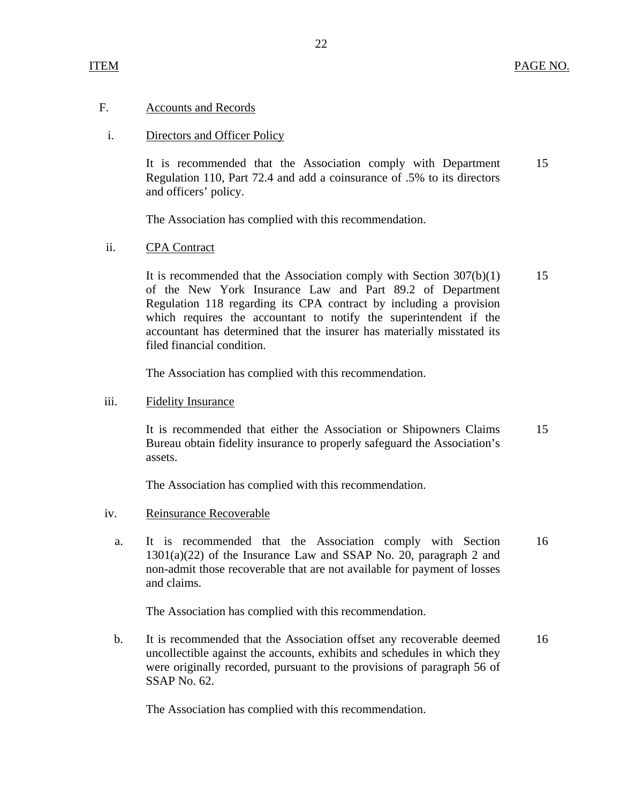### F. Accounts and Records

### i. Directors and Officer Policy

It is recommended that the Association comply with Department 15 Regulation 110, Part 72.4 and add a coinsurance of .5% to its directors and officers' policy.

The Association has complied with this recommendation.

#### ii. CPA Contract

It is recommended that the Association comply with Section  $307(b)(1)$  15 of the New York Insurance Law and Part 89.2 of Department Regulation 118 regarding its CPA contract by including a provision which requires the accountant to notify the superintendent if the accountant has determined that the insurer has materially misstated its filed financial condition.

The Association has complied with this recommendation.

#### iii. Fidelity Insurance

It is recommended that either the Association or Shipowners Claims 15 Bureau obtain fidelity insurance to properly safeguard the Association's assets.

The Association has complied with this recommendation.

#### iv. Reinsurance Recoverable

a. It is recommended that the Association comply with Section 16 1301(a)(22) of the Insurance Law and SSAP No. 20, paragraph 2 and non-admit those recoverable that are not available for payment of losses and claims.

The Association has complied with this recommendation.

b. It is recommended that the Association offset any recoverable deemed 16 uncollectible against the accounts, exhibits and schedules in which they were originally recorded, pursuant to the provisions of paragraph 56 of SSAP No. 62.

The Association has complied with this recommendation.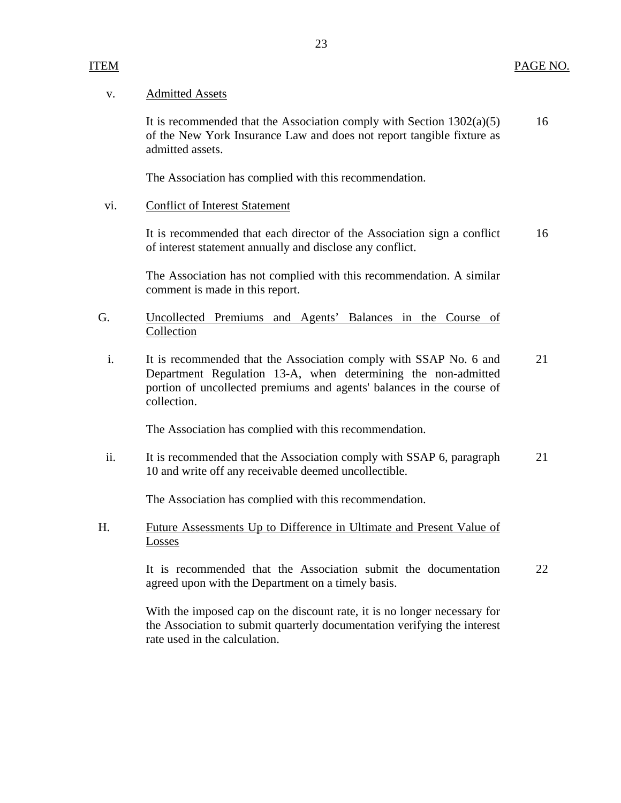#### v. Admitted Assets

It is recommended that the Association comply with Section  $1302(a)(5)$  16 of the New York Insurance Law and does not report tangible fixture as admitted assets.

The Association has complied with this recommendation.

### vi. Conflict of Interest Statement

It is recommended that each director of the Association sign a conflict 16 of interest statement annually and disclose any conflict.

The Association has not complied with this recommendation. A similar comment is made in this report.

## G. Uncollected Premiums and Agents' Balances in the Course of Collection

i. It is recommended that the Association comply with SSAP No. 6 and 21 Department Regulation 13-A, when determining the non-admitted portion of uncollected premiums and agents' balances in the course of collection.

The Association has complied with this recommendation.

ii. It is recommended that the Association comply with SSAP 6, paragraph 21 10 and write off any receivable deemed uncollectible.

The Association has complied with this recommendation.

H. Future Assessments Up to Difference in Ultimate and Present Value of Losses

> It is recommended that the Association submit the documentation 22 agreed upon with the Department on a timely basis.

With the imposed cap on the discount rate, it is no longer necessary for the Association to submit quarterly documentation verifying the interest rate used in the calculation.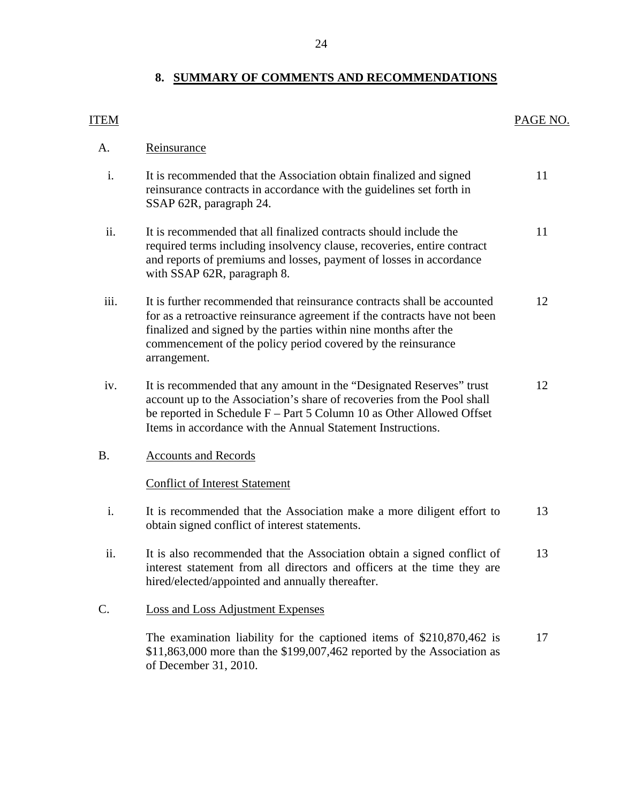## **8. SUMMARY OF COMMENTS AND RECOMMENDATIONS**

<span id="page-25-0"></span>

| <b>ITEM</b> |                                                                                                                                                                                                                                                                                                          | PAGE NO. |
|-------------|----------------------------------------------------------------------------------------------------------------------------------------------------------------------------------------------------------------------------------------------------------------------------------------------------------|----------|
| A.          | Reinsurance                                                                                                                                                                                                                                                                                              |          |
| i.          | It is recommended that the Association obtain finalized and signed<br>reinsurance contracts in accordance with the guidelines set forth in<br>SSAP 62R, paragraph 24.                                                                                                                                    | 11       |
| ii.         | It is recommended that all finalized contracts should include the<br>required terms including insolvency clause, recoveries, entire contract<br>and reports of premiums and losses, payment of losses in accordance<br>with SSAP 62R, paragraph 8.                                                       | 11       |
| iii.        | It is further recommended that reinsurance contracts shall be accounted<br>for as a retroactive reinsurance agreement if the contracts have not been<br>finalized and signed by the parties within nine months after the<br>commencement of the policy period covered by the reinsurance<br>arrangement. | 12       |
| iv.         | It is recommended that any amount in the "Designated Reserves" trust<br>account up to the Association's share of recoveries from the Pool shall<br>be reported in Schedule $F - Part 5$ Column 10 as Other Allowed Offset<br>Items in accordance with the Annual Statement Instructions.                 | 12       |
| <b>B.</b>   | <b>Accounts and Records</b>                                                                                                                                                                                                                                                                              |          |
|             | <b>Conflict of Interest Statement</b>                                                                                                                                                                                                                                                                    |          |
| i.          | It is recommended that the Association make a more diligent effort to<br>obtain signed conflict of interest statements.                                                                                                                                                                                  | 13       |
| ii.         | It is also recommended that the Association obtain a signed conflict of<br>interest statement from all directors and officers at the time they are<br>hired/elected/appointed and annually thereafter.                                                                                                   | 13       |
| C.          | <b>Loss and Loss Adjustment Expenses</b>                                                                                                                                                                                                                                                                 |          |
|             | The examination liability for the captioned items of $$210,870,462$ is<br>$$11,863,000$ more than the \$199,007,462 reported by the Association as<br>of December 31, 2010.                                                                                                                              | 17       |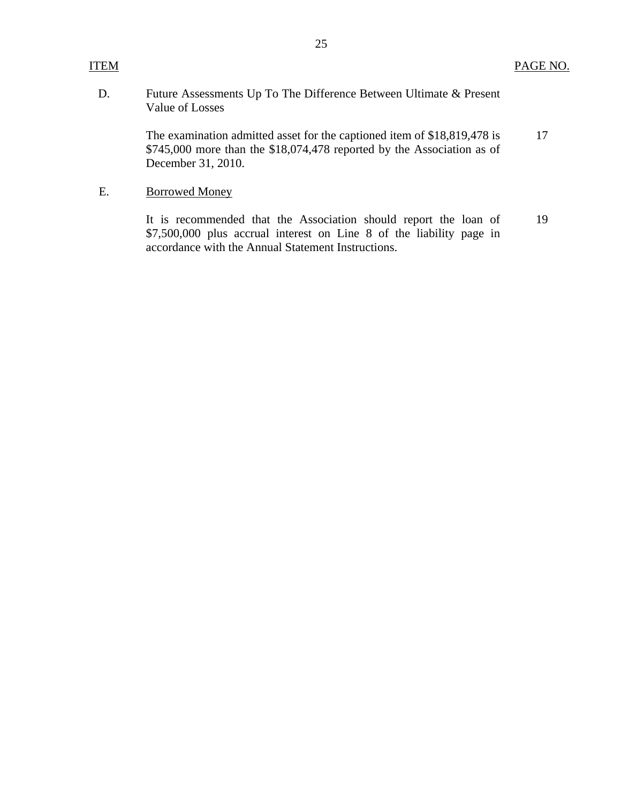## D. Future Assessments Up To The Difference Between Ultimate & Present Value of Losses

The examination admitted asset for the captioned item of \$18,819,478 is 17 \$745,000 more than the \$18,074,478 reported by the Association as of December 31, 2010.

## E. Borrowed Money

It is recommended that the Association should report the loan of 19 \$7,500,000 plus accrual interest on Line 8 of the liability page in accordance with the Annual Statement Instructions.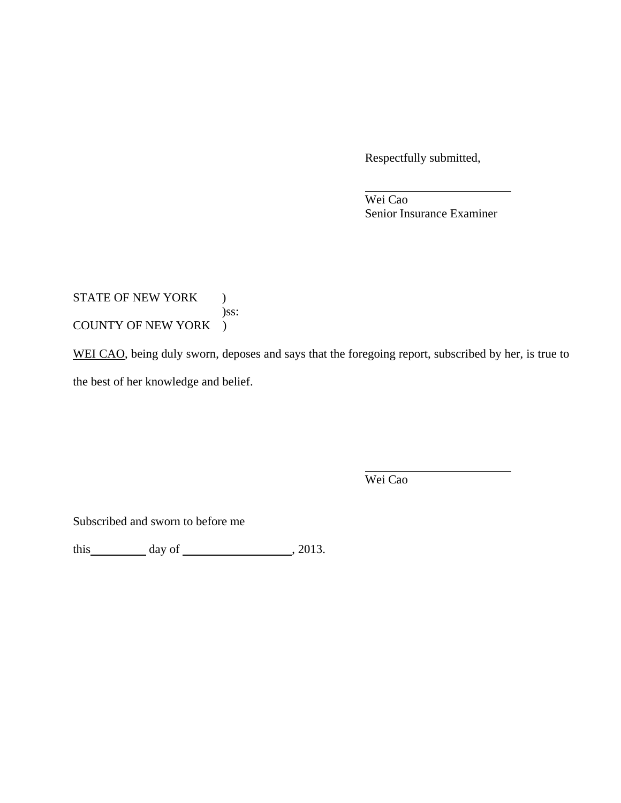Respectfully submitted,

 Wei Cao Senior Insurance Examiner

## STATE OF NEW YORK ) )ss: COUNTY OF NEW YORK )

WEI CAO, being duly sworn, deposes and says that the foregoing report, subscribed by her, is true to the best of her knowledge and belief.

Wei Cao

Subscribed and sworn to before me

this  $\_\_\_\_\_$  day of  $\_\_\_\_\_\_$ , 2013.